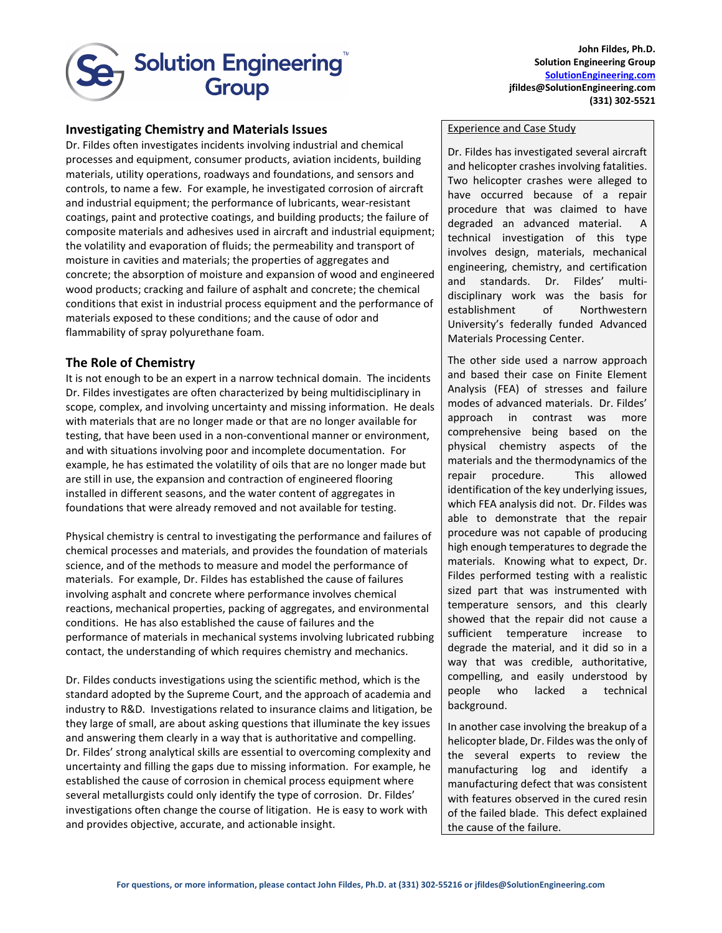

**John Fildes, Ph.D. Solution Engineering Group [SolutionEngineering.com](http://www.spotlightbc.com/) jfildes@SolutionEngineering.com (331) 302-5521**

## **Investigating Chemistry and Materials Issues**

Dr. Fildes often investigates incidents involving industrial and chemical processes and equipment, consumer products, aviation incidents, building materials, utility operations, roadways and foundations, and sensors and controls, to name a few. For example, he investigated corrosion of aircraft and industrial equipment; the performance of lubricants, wear-resistant coatings, paint and protective coatings, and building products; the failure of composite materials and adhesives used in aircraft and industrial equipment; the volatility and evaporation of fluids; the permeability and transport of moisture in cavities and materials; the properties of aggregates and concrete; the absorption of moisture and expansion of wood and engineered wood products; cracking and failure of asphalt and concrete; the chemical conditions that exist in industrial process equipment and the performance of materials exposed to these conditions; and the cause of odor and flammability of spray polyurethane foam.

## **The Role of Chemistry**

It is not enough to be an expert in a narrow technical domain. The incidents Dr. Fildes investigates are often characterized by being multidisciplinary in scope, complex, and involving uncertainty and missing information. He deals with materials that are no longer made or that are no longer available for testing, that have been used in a non-conventional manner or environment, and with situations involving poor and incomplete documentation. For example, he has estimated the volatility of oils that are no longer made but are still in use, the expansion and contraction of engineered flooring installed in different seasons, and the water content of aggregates in foundations that were already removed and not available for testing.

Physical chemistry is central to investigating the performance and failures of chemical processes and materials, and provides the foundation of materials science, and of the methods to measure and model the performance of materials. For example, Dr. Fildes has established the cause of failures involving asphalt and concrete where performance involves chemical reactions, mechanical properties, packing of aggregates, and environmental conditions. He has also established the cause of failures and the performance of materials in mechanical systems involving lubricated rubbing contact, the understanding of which requires chemistry and mechanics.

Dr. Fildes conducts investigations using the scientific method, which is the standard adopted by the Supreme Court, and the approach of academia and industry to R&D. Investigations related to insurance claims and litigation, be they large of small, are about asking questions that illuminate the key issues and answering them clearly in a way that is authoritative and compelling. Dr. Fildes' strong analytical skills are essential to overcoming complexity and uncertainty and filling the gaps due to missing information. For example, he established the cause of corrosion in chemical process equipment where several metallurgists could only identify the type of corrosion. Dr. Fildes' investigations often change the course of litigation. He is easy to work with and provides objective, accurate, and actionable insight.

## Experience and Case Study

Dr. Fildes has investigated several aircraft and helicopter crashes involving fatalities. Two helicopter crashes were alleged to have occurred because of a repair procedure that was claimed to have degraded an advanced material. A technical investigation of this type involves design, materials, mechanical engineering, chemistry, and certification and standards. Dr. Fildes' multidisciplinary work was the basis for establishment of Northwestern University's federally funded Advanced Materials Processing Center.

The other side used a narrow approach and based their case on Finite Element Analysis (FEA) of stresses and failure modes of advanced materials. Dr. Fildes' approach in contrast was more comprehensive being based on the physical chemistry aspects of the materials and the thermodynamics of the repair procedure. This allowed identification of the key underlying issues, which FEA analysis did not. Dr. Fildes was able to demonstrate that the repair procedure was not capable of producing high enough temperatures to degrade the materials. Knowing what to expect, Dr. Fildes performed testing with a realistic sized part that was instrumented with temperature sensors, and this clearly showed that the repair did not cause a sufficient temperature increase to degrade the material, and it did so in a way that was credible, authoritative, compelling, and easily understood by people who lacked a technical background.

In another case involving the breakup of a helicopter blade, Dr. Fildes was the only of the several experts to review the manufacturing log and identify a manufacturing defect that was consistent with features observed in the cured resin of the failed blade. This defect explained the cause of the failure.